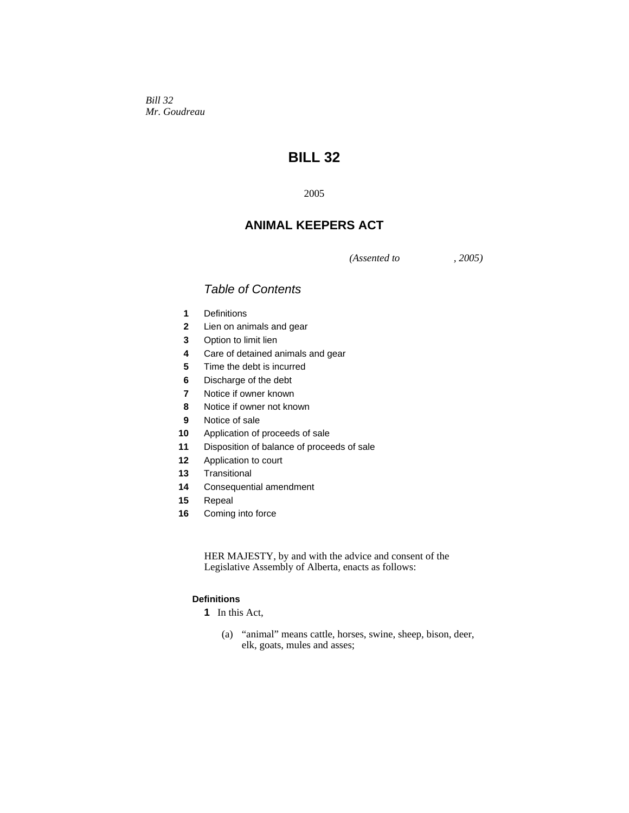*Bill 32 Mr. Goudreau* 

# **BILL 32**

## **ANIMAL KEEPERS ACT**

*(Assented to , 2005)* 

## *Table of Contents*

- Definitions
- Lien on animals and gear
- Option to limit lien
- Care of detained animals and gear
- Time the debt is incurred
- Discharge of the debt
- Notice if owner known
- Notice if owner not known
- Notice of sale
- Application of proceeds of sale
- Disposition of balance of proceeds of sale
- Application to court
- Transitional
- Consequential amendment
- Repeal
- Coming into force

HER MAJESTY, by and with the advice and consent of the Legislative Assembly of Alberta, enacts as follows:

## **Definitions**

- In this Act,
	- (a) "animal" means cattle, horses, swine, sheep, bison, deer, elk, goats, mules and asses;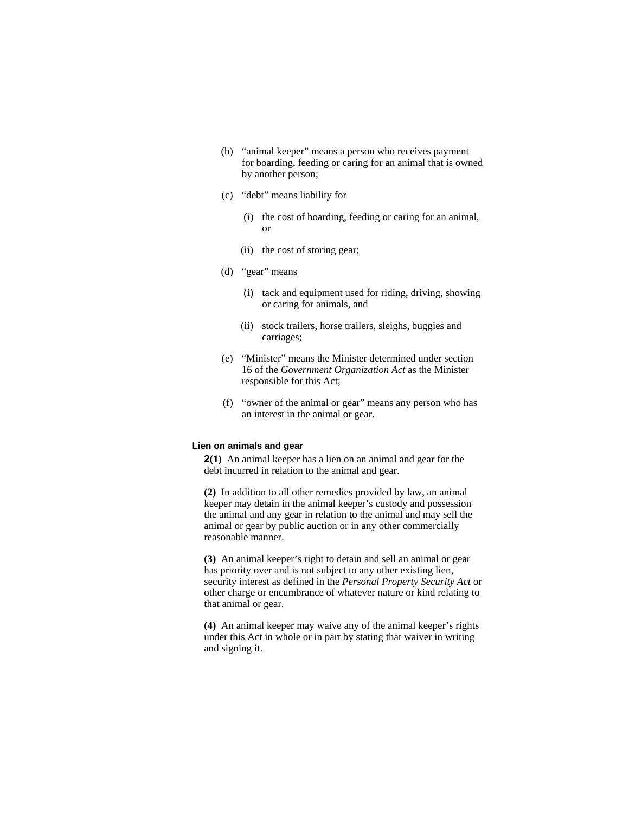- (b) "animal keeper" means a person who receives payment for boarding, feeding or caring for an animal that is owned by another person;
- (c) "debt" means liability for
	- (i) the cost of boarding, feeding or caring for an animal, or
	- (ii) the cost of storing gear;
- (d) "gear" means
	- (i) tack and equipment used for riding, driving, showing or caring for animals, and
	- (ii) stock trailers, horse trailers, sleighs, buggies and carriages;
- (e) "Minister" means the Minister determined under section 16 of the *Government Organization Act* as the Minister responsible for this Act;
- (f) "owner of the animal or gear" means any person who has an interest in the animal or gear.

#### **Lien on animals and gear**

**2(1)** An animal keeper has a lien on an animal and gear for the debt incurred in relation to the animal and gear.

**(2)** In addition to all other remedies provided by law, an animal keeper may detain in the animal keeper's custody and possession the animal and any gear in relation to the animal and may sell the animal or gear by public auction or in any other commercially reasonable manner.

**(3)** An animal keeper's right to detain and sell an animal or gear has priority over and is not subject to any other existing lien, security interest as defined in the *Personal Property Security Act* or other charge or encumbrance of whatever nature or kind relating to that animal or gear.

**(4)** An animal keeper may waive any of the animal keeper's rights under this Act in whole or in part by stating that waiver in writing and signing it.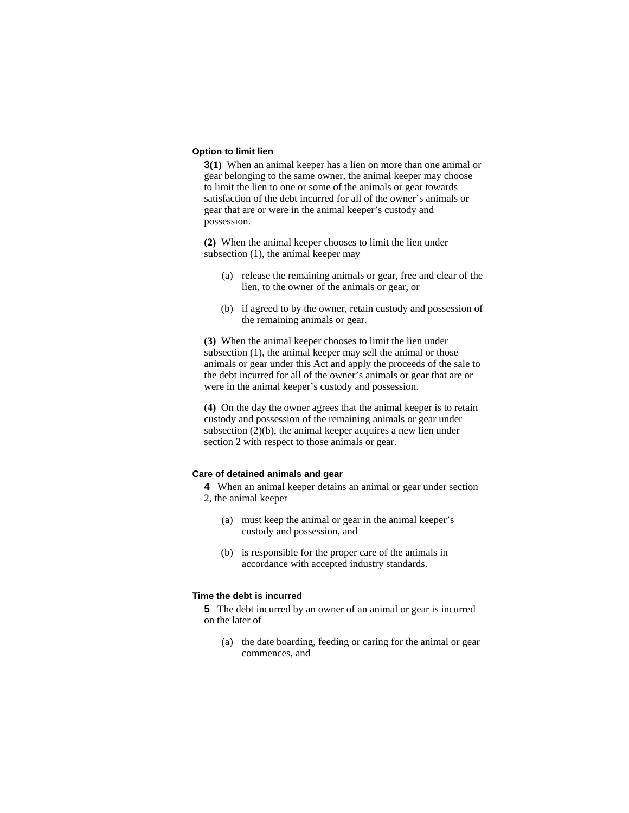### **Option to limit lien**

**3(1)** When an animal keeper has a lien on more than one animal or gear belonging to the same owner, the animal keeper may choose to limit the lien to one or some of the animals or gear towards satisfaction of the debt incurred for all of the owner's animals or gear that are or were in the animal keeper's custody and possession.

**(2)** When the animal keeper chooses to limit the lien under subsection (1), the animal keeper may

- (a) release the remaining animals or gear, free and clear of the lien, to the owner of the animals or gear, or
- (b) if agreed to by the owner, retain custody and possession of the remaining animals or gear.

**(3)** When the animal keeper chooses to limit the lien under subsection (1), the animal keeper may sell the animal or those animals or gear under this Act and apply the proceeds of the sale to the debt incurred for all of the owner's animals or gear that are or were in the animal keeper's custody and possession.

**(4)** On the day the owner agrees that the animal keeper is to retain custody and possession of the remaining animals or gear under subsection (2)(b), the animal keeper acquires a new lien under section 2 with respect to those animals or gear.

### **Care of detained animals and gear**

**4** When an animal keeper detains an animal or gear under section 2, the animal keeper

- (a) must keep the animal or gear in the animal keeper's custody and possession, and
- (b) is responsible for the proper care of the animals in accordance with accepted industry standards.

#### **Time the debt is incurred**

**5** The debt incurred by an owner of an animal or gear is incurred on the later of

 (a) the date boarding, feeding or caring for the animal or gear commences, and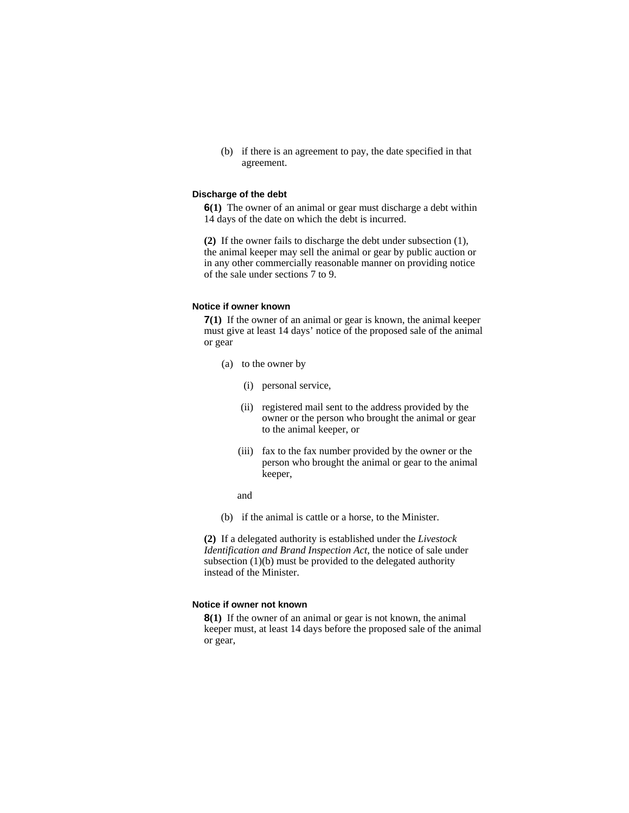(b) if there is an agreement to pay, the date specified in that agreement.

#### **Discharge of the debt**

**6(1)** The owner of an animal or gear must discharge a debt within 14 days of the date on which the debt is incurred.

**(2)** If the owner fails to discharge the debt under subsection (1), the animal keeper may sell the animal or gear by public auction or in any other commercially reasonable manner on providing notice of the sale under sections 7 to 9.

#### **Notice if owner known**

**7(1)** If the owner of an animal or gear is known, the animal keeper must give at least 14 days' notice of the proposed sale of the animal or gear

- (a) to the owner by
	- (i) personal service,
	- (ii) registered mail sent to the address provided by the owner or the person who brought the animal or gear to the animal keeper, or
	- (iii) fax to the fax number provided by the owner or the person who brought the animal or gear to the animal keeper,
	- and
- (b) if the animal is cattle or a horse, to the Minister.

**(2)** If a delegated authority is established under the *Livestock Identification and Brand Inspection Act*, the notice of sale under subsection (1)(b) must be provided to the delegated authority instead of the Minister.

## **Notice if owner not known**

**8(1)** If the owner of an animal or gear is not known, the animal keeper must, at least 14 days before the proposed sale of the animal or gear,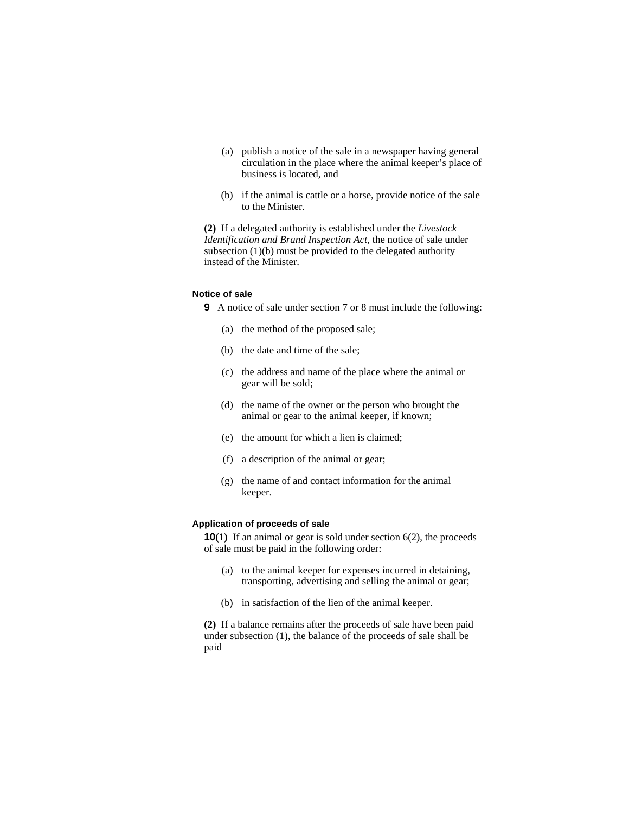- (a) publish a notice of the sale in a newspaper having general circulation in the place where the animal keeper's place of business is located, and
- (b) if the animal is cattle or a horse, provide notice of the sale to the Minister.

**(2)** If a delegated authority is established under the *Livestock Identification and Brand Inspection Act*, the notice of sale under subsection  $(1)(b)$  must be provided to the delegated authority instead of the Minister.

## **Notice of sale**

**9** A notice of sale under section 7 or 8 must include the following:

- (a) the method of the proposed sale;
- (b) the date and time of the sale;
- (c) the address and name of the place where the animal or gear will be sold;
- (d) the name of the owner or the person who brought the animal or gear to the animal keeper, if known;
- (e) the amount for which a lien is claimed;
- (f) a description of the animal or gear;
- (g) the name of and contact information for the animal keeper.

## **Application of proceeds of sale**

**10(1)** If an animal or gear is sold under section 6(2), the proceeds of sale must be paid in the following order:

- (a) to the animal keeper for expenses incurred in detaining, transporting, advertising and selling the animal or gear;
- (b) in satisfaction of the lien of the animal keeper.

**(2)** If a balance remains after the proceeds of sale have been paid under subsection (1), the balance of the proceeds of sale shall be paid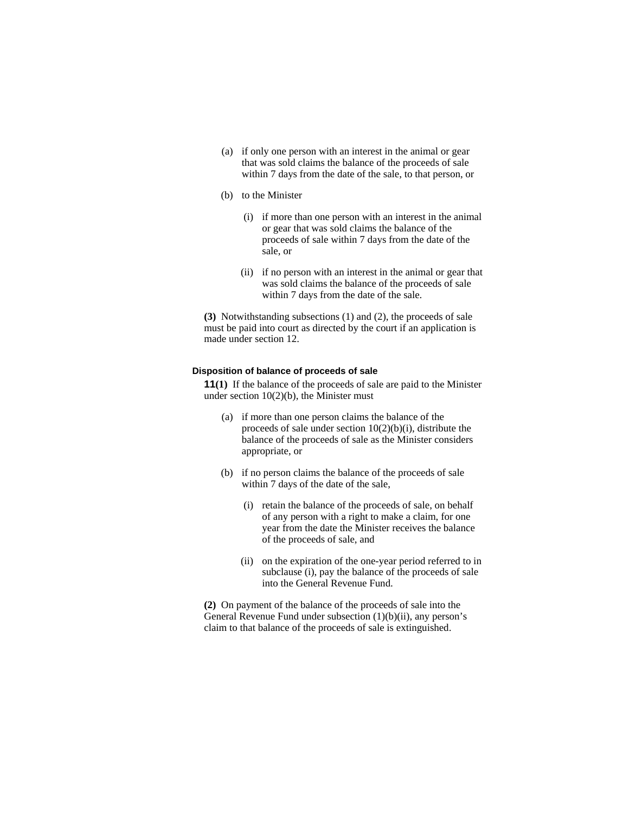- (a) if only one person with an interest in the animal or gear that was sold claims the balance of the proceeds of sale within 7 days from the date of the sale, to that person, or
- (b) to the Minister
	- (i) if more than one person with an interest in the animal or gear that was sold claims the balance of the proceeds of sale within 7 days from the date of the sale, or
	- (ii) if no person with an interest in the animal or gear that was sold claims the balance of the proceeds of sale within 7 days from the date of the sale.

**(3)** Notwithstanding subsections (1) and (2), the proceeds of sale must be paid into court as directed by the court if an application is made under section 12.

#### **Disposition of balance of proceeds of sale**

**11(1)** If the balance of the proceeds of sale are paid to the Minister under section  $10(2)(b)$ , the Minister must

- (a) if more than one person claims the balance of the proceeds of sale under section 10(2)(b)(i), distribute the balance of the proceeds of sale as the Minister considers appropriate, or
- (b) if no person claims the balance of the proceeds of sale within 7 days of the date of the sale,
	- (i) retain the balance of the proceeds of sale, on behalf of any person with a right to make a claim, for one year from the date the Minister receives the balance of the proceeds of sale, and
	- (ii) on the expiration of the one-year period referred to in subclause (i), pay the balance of the proceeds of sale into the General Revenue Fund.

**(2)** On payment of the balance of the proceeds of sale into the General Revenue Fund under subsection (1)(b)(ii), any person's claim to that balance of the proceeds of sale is extinguished.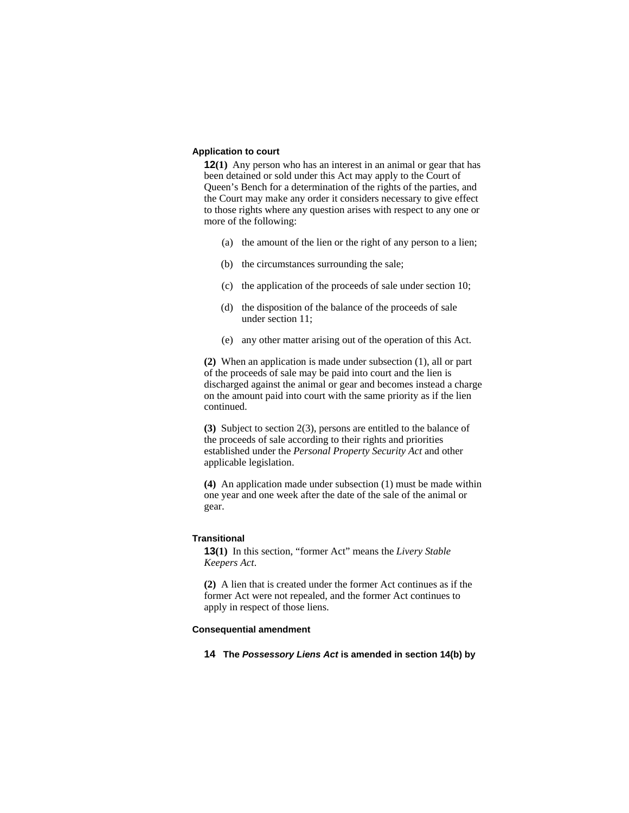### **Application to court**

**12(1)** Any person who has an interest in an animal or gear that has been detained or sold under this Act may apply to the Court of Queen's Bench for a determination of the rights of the parties, and the Court may make any order it considers necessary to give effect to those rights where any question arises with respect to any one or more of the following:

- (a) the amount of the lien or the right of any person to a lien;
- (b) the circumstances surrounding the sale;
- (c) the application of the proceeds of sale under section 10;
- (d) the disposition of the balance of the proceeds of sale under section 11;
- (e) any other matter arising out of the operation of this Act.

**(2)** When an application is made under subsection (1), all or part of the proceeds of sale may be paid into court and the lien is discharged against the animal or gear and becomes instead a charge on the amount paid into court with the same priority as if the lien continued.

**(3)** Subject to section 2(3), persons are entitled to the balance of the proceeds of sale according to their rights and priorities established under the *Personal Property Security Act* and other applicable legislation.

**(4)** An application made under subsection (1) must be made within one year and one week after the date of the sale of the animal or gear.

#### **Transitional**

**13(1)** In this section, "former Act" means the *Livery Stable Keepers Act*.

**(2)** A lien that is created under the former Act continues as if the former Act were not repealed, and the former Act continues to apply in respect of those liens.

### **Consequential amendment**

**14 The** *Possessory Liens Act* **is amended in section 14(b) by**